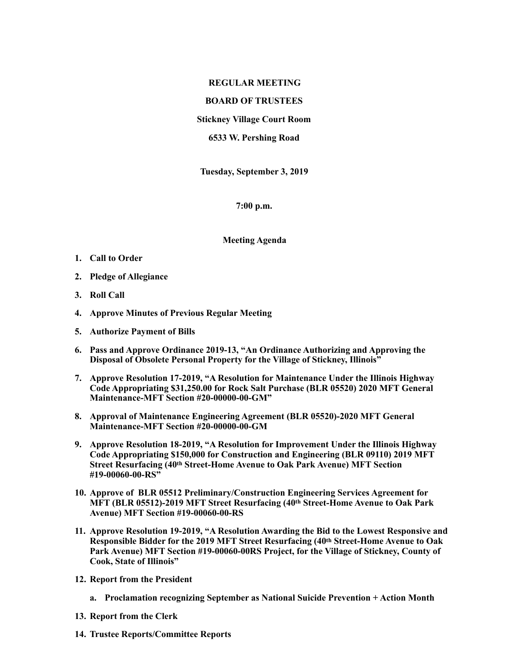## **REGULAR MEETING**

## **BOARD OF TRUSTEES**

**Stickney Village Court Room** 

**6533 W. Pershing Road** 

**Tuesday, September 3, 2019** 

**7:00 p.m.** 

**Meeting Agenda** 

- **1. Call to Order**
- **2. Pledge of Allegiance**
- **3. Roll Call**
- **4. Approve Minutes of Previous Regular Meeting**
- **5. Authorize Payment of Bills**
- **6. Pass and Approve Ordinance 2019-13, "An Ordinance Authorizing and Approving the Disposal of Obsolete Personal Property for the Village of Stickney, Illinois"**
- **7. Approve Resolution 17-2019, "A Resolution for Maintenance Under the Illinois Highway Code Appropriating \$31,250.00 for Rock Salt Purchase (BLR 05520) 2020 MFT General Maintenance-MFT Section #20-00000-00-GM"**
- **8. Approval of Maintenance Engineering Agreement (BLR 05520)-2020 MFT General Maintenance-MFT Section #20-00000-00-GM**
- **9. Approve Resolution 18-2019, "A Resolution for Improvement Under the Illinois Highway Code Appropriating \$150,000 for Construction and Engineering (BLR 09110) 2019 MFT Street Resurfacing (40th Street-Home Avenue to Oak Park Avenue) MFT Section #19-00060-00-RS"**
- **10. Approve of BLR 05512 Preliminary/Construction Engineering Services Agreement for MFT (BLR 05512)-2019 MFT Street Resurfacing (40th Street-Home Avenue to Oak Park Avenue) MFT Section #19-00060-00-RS**
- **11. Approve Resolution 19-2019, "A Resolution Awarding the Bid to the Lowest Responsive and Responsible Bidder for the 2019 MFT Street Resurfacing (40th Street-Home Avenue to Oak Park Avenue) MFT Section #19-00060-00RS Project, for the Village of Stickney, County of Cook, State of Illinois"**
- **12. Report from the President** 
	- **a. Proclamation recognizing September as National Suicide Prevention + Action Month**
- **13. Report from the Clerk**
- **14. Trustee Reports/Committee Reports**